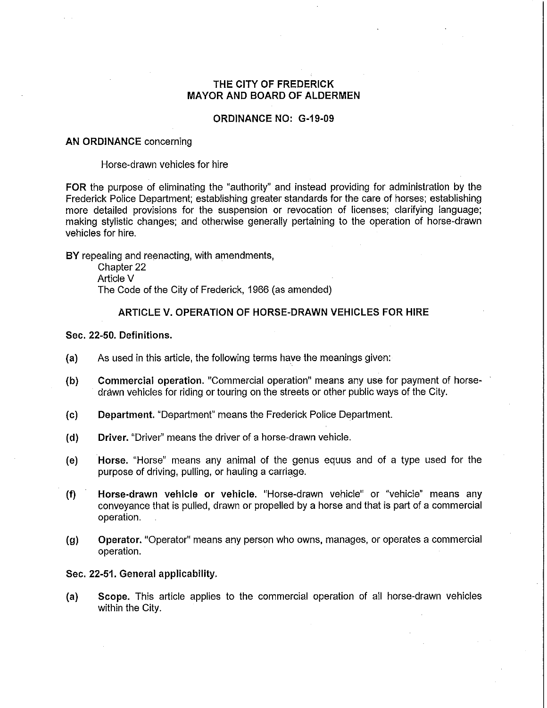# THE CITY OF FREDERICK MAYOR AND BOARD OF ALDERMEN

### ORDINANCE NO: G-19-09

#### AN ORDINANCE concerning

#### Horse-drawn vehicles for hire

FOR the purpose of eliminating the "authority" and instead providing for administration by the Frederick Police Department; establishing greater standards for the care of horses; establishing more detailed provisions for the suspension or revocation of licenses; clarifying language; making stylistic changes; and otherwise generally pertaining to the operation of horse-drawn vehicles for hire.

BY repealing and reenacting, with amendments,

Chapter 22 Article V The Code of the City of Frederick, 1966 (as amended)

### ARTICLE V. OPERATION OF HORSE-DRAWN VEHICLES FOR HIRE

#### Sec. 22-50. Definitions.

- (a) As used in this article, the following terms have the meanings given:
- (b) Commercial operation. "Commercial operation" means any use for payment of horsedrawn vehicles for riding or touring on the streets or other public ways of the City.
- (c) Department. "Department" means the Frederick Police Department.
- (d) Driver. "Driver" means the driver of a horse-drawn vehicle.
- (e) Horse. "Horse" means any animal of the genus equus and of a type used for the purpose of driving, pulling, or hauling a carriage.
- (f) Horse-drawn vehicle or vehicle. "Horse-drawn vehicle" or "vehicle" means any conveyance that is pulled, drawn or propelled by a horse and that is part of a commercial operation.
- (g) Operator. "Operator" means any person who owns, manages, or operates a commercial operation.

#### Sec. 22-51. General applicability.

(a) Scope. This article applies to the commercial operation of all horse-drawn vehicles within the City.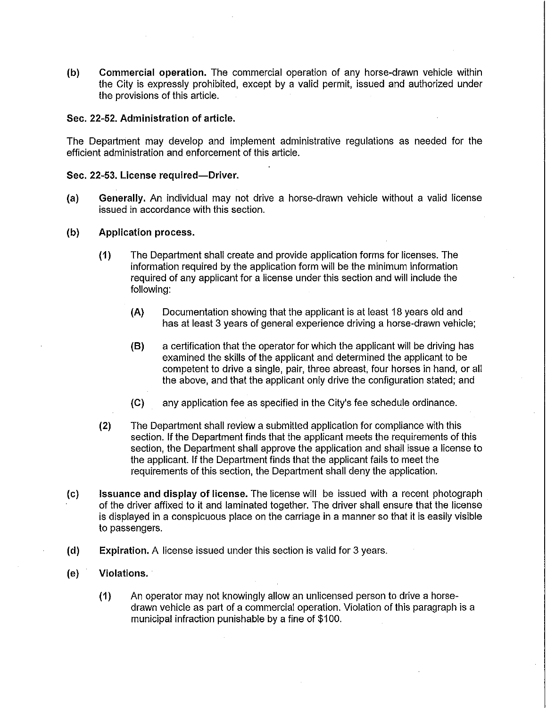(b) Commercial operation. The commercial operation of any horse-drawn vehicle within the City is expressly prohibited, except by a valid permit, issued and authorized under the provisions of this article.

## Sec. 22-52. Administration of article.

The Department may develop and implement administrative regulations as needed for the efficient administration and enforcement of this article.

#### Sec. 22-53. License required-Driver.

- (a) Generally. An individual may not drive a horse-drawn vehicle without a valid license issued in accordance with this section.
- (b) Application process.
	- (1) The Department shall create and provide application forms for licenses. The information required by the application form will be the minimum information required of any applicant for a license under this section and will include the following:
		- (A) Documentation showing that the applicant is at least 18 years old and has at least 3 years of general experience driving a horse-drawn vehicle;
		- (8) a certification that the operator for which the applicant will be driving has examined the skills of the applicant and determined the applicant to be competent to drive a single, pair, three abreast, four horses in hand, or all the above, and that the applicant only drive the configuration stated; and
		- (C) any application fee as specified in the City's fee schedule ordinance.
	- (2) The Department shall review a submitted application for compliance with this section. If the Department finds that the applicant meets the requirements of this section, the Department shall approve the application and shall issue a license to the applicant. If the Department finds that the applicant fails to meet the requirements of this section, the Department shall deny the application.
- (c) Issuance and display of license. The license will be issued with a recent photograph of the driver affixed to it and laminated together. The driver shall ensure that the license is displayed in a conspicuous place on the carriage in a manner so that it is easily visible to passengers.
- (d) Expiration. A license issued under this section is valid for 3 years.
- (e) Violations.
	- (1) An operator may not knowingly allow an unlicensed person to drive a horsedrawn vehicle as part of a commercial operation. Violation of this paragraph is a municipal infraction punishable by a fine of \$100.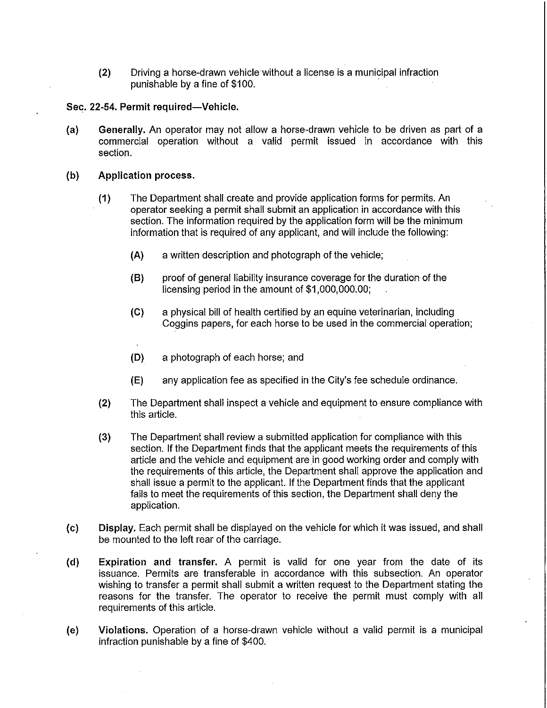(2) Driving a horse-drawn vehicle without a license is a municipal infraction punishable by a fine of \$100.

Sec. 22-54. Permit required-Vehicle.

- (a) Generally. An operator may not allow a horse-drawn vehicle to be driven as part of a commercial operation without a valid permit issued in accordance with this section.
- (b) Application process.
	- (1) The Department shall create and provide application forms for permits. An operator seeking a permit shall submit an application in accordance with this section. The information required by the application form will be the minimum information that is required of any applicant, and will include the following:
		- (A) a written description and photograph of the vehicle;
		- (8) proof of general liability insurance coverage for the duration of the licensing period in the amount of \$1,000,000.00;
		- (e) a physical bill of health certified by an equine veterinarian, including Coggins papers, for each horse to be used in the commercial operation;
		- (D) a photograph of each horse; and
		- (E) any application fee as specified in the City's fee schedule ordinance.
	- (2) The Department shall inspect a vehicle and equipment to ensure compliance with this article.
	- (3) The Department shall review a submitted application for compliance with this section. If the Department finds that the applicant meets the requirements of this article and the vehicle and equipment are in good working order and comply with the requirements of this article, the Department shall approve the application and shall issue a permit to the applicant. If the Department finds that the applicant fails to meet the requirements of this section, the Department shall deny the application.
- (c) Display. Each permit shall be displayed on the vehicle for which it was issued, and shall be mounted to the left rear of the carriage.
- (d) Expiration and transfer. A permit is valid for one year from the date of its issuance. Permits are transferable in accordance with this subsection. An operator wishing to transfer a permit shall submit a written request to the Department stating the reasons for the transfer. The operator to receive the permit must comply with all requirements of this article.
- (e) Violations. Operation of a horse-drawn vehicle without a valid permit is a municipal infraction punishable by a fine of \$400.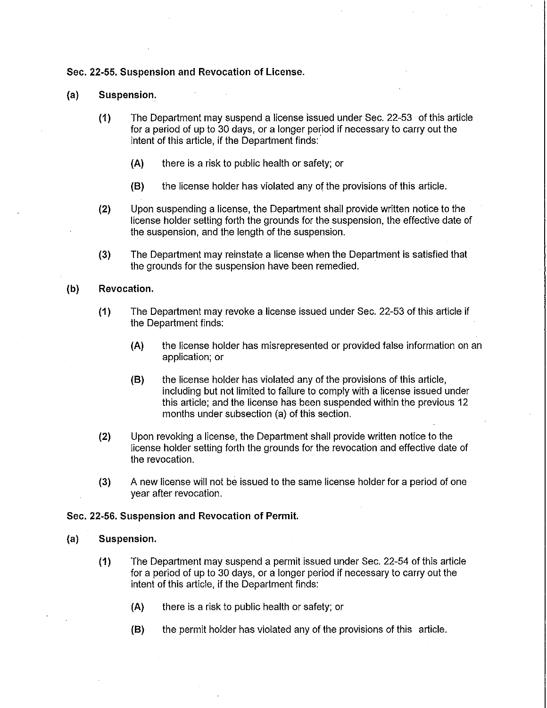### Sec. 22-55. Suspension and Revocation of License.

#### (a) Suspension~

- (1) The Department may suspend a license issued under Sec. 22-53 of this article for a period of up to 30 days, or a longer period if necessary to carry out the intent of this article, if the Department finds: '
	- (A) there is a risk to public health or safety; or
	- (8) the license holder has violated any of the provisions of this article.
- (2) Upon suspending a license, the Department shall provide written notice to the license holder setting forth the grounds for the suspension, the effective date of the suspension, and the length of the suspension.
- (3) The Department may reinstate a license when the Department is satisfied that the grounds for the suspension have been remedied.

#### (b) Revocation.

- (1) The Department may revoke a license issued under Sec, 22-53 of this article if the Department finds:
	- (A) the license holder has misrepresented or provided false information on an application; or
	- (8) the license holder has violated any of the provisions of this article, including but not limited to failure to comply with a license issued under this article; and the license has been suspended within the previous 12 months under subsection (a) of this section.
- (2) Upon revoking a license, the Department shall provide written notice to the license holder setting forth the grounds for the revocation and effective date of the revocation.
- (3) A new license will not be issued to the same license holder for a period of one year after revocation.

#### Sec. 22-56. Suspension and Revocation of Permit.

### (a) Suspension.

- (1) The Department may suspend a permit issued under Sec. 22-54 of this article for a period of up to 30 days, or a longer period if necessary to carry out the intent of this article, if the Department finds:
	- (A) there is a risk to public health or safety; or
	- (8) the permit holder has violated any of the provisions of this article.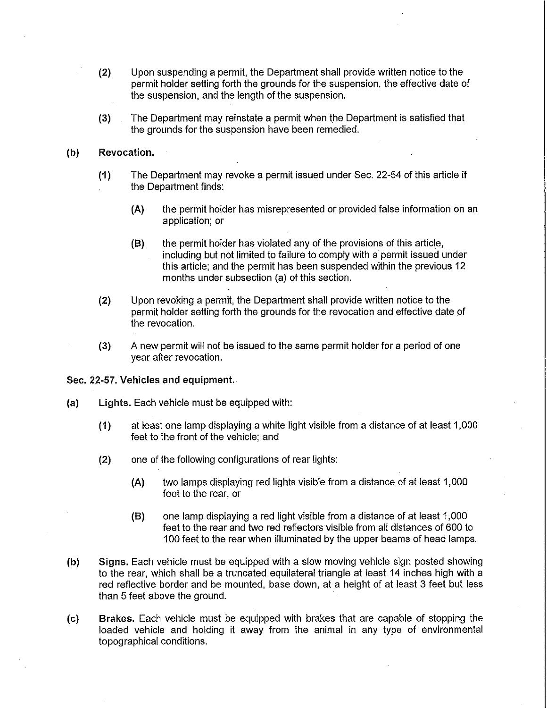- (2) Upon suspending a permit, the Department shall provide written notice to the permit holder setting forth the grounds for the suspension, the effective date of the suspension, and the length of the suspension.
- (3) The Department may reinstate a permit when the Department is satisfied that the grounds for the suspension have been remedied.

#### (b) Revocation.

- (1) The Department may revoke a permit issued under Sec. 22-54 of this article if the Department finds:
	- (A) the permit holder has misrepresented or provided false information on an application; or
	- (8) the permit holder has violated any of the provisions of this article, including but not limited to failure to comply with a permit issued under this article; and the permit has been suspended within the previous 12 months under subsection (a) of this section.
- (2) Upon revoking a permit, the Department shall provide written notice to the permit holder setting forth the grounds for the revocation and effective date of the revocation.
- (3) A new permit will not be issued to the same permit holder for a period of one year after revocation.

#### Sec. 22-57. Vehicles and equipment.

- (a) Lights. Each vehicle must be equipped with:
	- (1) at least one lamp displaying a white light visible from a distance of at least 1,000 feet to the front of the vehicle; and
	- (2) one of the following configurations of rear lights:
		- (A) two lamps displaying red lights visible from a distance of at least 1,000 feet to the rear; or
		- (8) one lamp displaying a red light visible from a distance of at least 1,000 feet to the rear and two red reflectors visible from all distances of 600 to 100 feet to the rear when illuminated by the upper beams of head lamps.
- (b) Signs. Each vehicle must be equipped with a slow moving vehicle sign posted showing to the rear, which shall be a truncated equilateral triangle at least 14 inches high with a red reflective border and be mounted, base down, at a height of at least 3 feet but less than 5 feet above the ground.
- (c) Brakes. Each vehicle must be equipped with brakes that are capable of stopping the loaded vehicle and holding it away from the animal in any type of environmental topographical conditions.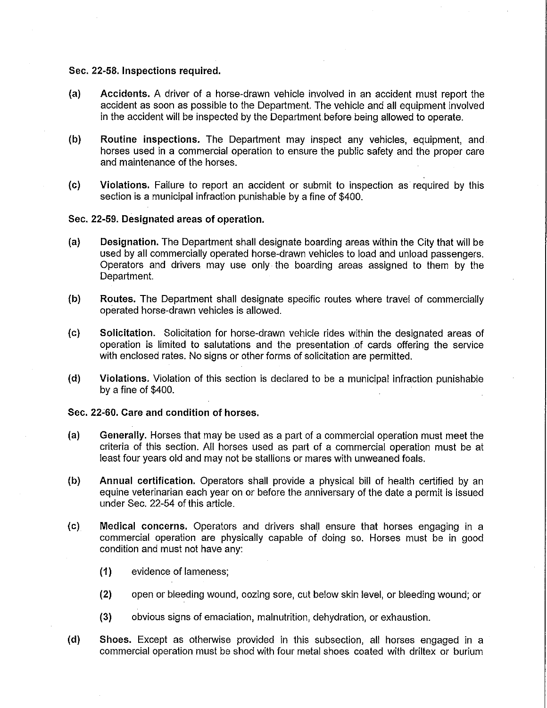## Sec. 22-58. Inspections required.

- (a) Accidents. A driver of a horse-drawn vehicle involved in an accident must report the accident as soon as possible to the Department. The vehicle and all equipment involved in the accident will be inspected by the Department before being allowed to operate.
- (b) Routine inspections. The Department may inspect any vehicles, equipment, and horses used in a commercial operation to ensure the public safety and the proper care and maintenance of the horses.
- (c) Violations. Failure to report an accident or submit to inspection as required by this section is a municipal infraction punishable by a fine of \$400.

#### Sec. 22-59. Designated areas of operation.

- (a) Designation. The Department shall designate boarding areas within the City that will be used by all commercially operated horse-drawn vehicles to load and unload passengers. Operators and drivers. may use only the boarding areas assigned to them by the Department.
- (b) Routes. The Department shall designate specific routes where travel of commercially operated horse-drawn vehicles is allowed.
- (c) Solicitation. Solicitation for horse-drawn vehicle rides within the designated areas of operation is limited to salutations and the presentation .of cards offering the service with enclosed rates. No signs or other forms of solicitation are permitted.
- (d) Violations. Violation of this section is declared to be a municipal infraction punishable by a fine of \$400.

## Sec. 22'60. Care and condition of horses.

- (a) Generally. Horses that may be used as a part of a commercial operation must meet the criteria of this section. All horses used as part of a commercial operation must be at least four years old and may not be stallions or mares with unweaned foals.
- (b) Annual certification. Operators shall provide a physical bill of health certified by an equine veterinarian each year on or before the anniversary of the date a permit is issued under Sec. 22-54 of this article.
- (c) Medical concerns. Operators and drivers shall ensure that horses engaging in a commercial operation are physically capable of doing so. Horses must be in good condition and must not have any:
	- (1) evidence of lameness;
	- (2) open or bleeding wound, oozing sore, cut below skin level, or bleeding wound; or
	- (3) obvious signs of emaciation, malnutrition, dehydration, or exhaustion.
- (d) Shoes. Except as otherwise provided in this subsection, all horses engaged in a commercial operation must be shod with four metal shoes coated with driltex or burium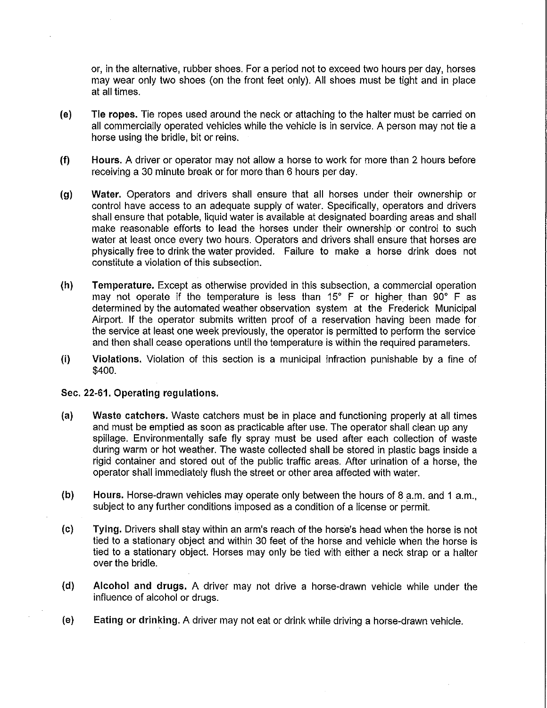or, in the alternative, rubber shoes. For a period not to exceed two hours per day, horses may wear only two shoes (on the front feet only). All shoes must be tight and in place at all times.

- (e) Tie ropes. Tie ropes used around the neck or attaching to the halter must be carried on all commercially operated vehicles while the vehicle is in service. A person may not tie a horse using the bridle, bit or reins.
- (f) Hours. A driver or operator may not allow a horse to work for more than 2 hours before receiving a 30 minute break or for more than 6 hours per day.
- (g) Water. Operators and drivers shall ensure that all horses under their ownership or control have access to an adequate supply of water. Specifically, operators and drivers shall ensure that potable, liquid water is available at designated boarding areas and shall make reasonable efforts to lead the horses under their ownership or control to such water at least once every two hours. Operators and drivers shall ensure that horses are physically free to drink the water provided. Failure to make a horse drink does not constitute a violation of this subsection.
- (h) Temperature. Except as otherwise provided in this subsection, a commercial operation may not operate if the temperature is less than 15° F or higher than 90° F as determined by the automated weather observation system at the Frederick Municipal Airport. If the operator submits written proof of a reservation having been made for the service at least one week previously, the operator is permitted to perform the service and then shall cease operations until the temperature is within the required parameters.
- (i) Violations. Violation of this section is a municipal infraction punishable by a fine of \$400.

#### Sec. 22-61. Operating regulations.

- (a) Waste catchers. Waste catchers must be in place and functioning properly at all times and must be emptied as soon as practicable after use. The operator shall clean up any spillage. Environmentally safe fly spray must be used after each collection of waste during warm or hot weather. The waste collected shall be stored in plastic bags inside a rigid container and stored out of the public traffic areas. After urination of a horse, the operator shall immediately flush the street or other area affected with water.
- (b) Hours. Horse-drawn vehicles may operate only between the hours of 8 a.m. and 1 a.m., subject to any further conditions imposed as a condition of a license or permit.
- (c) Tying. Drivers shall stay within an arm's reach of the horse's head when the horse is not tied to a stationary object and within 30 feet of the horse and vehicle when the horse is tied to a stationary object. Horses may only be tied with either a neck strap or a halter over the bridle.
- (d) Alcohol and drugs. A driver may not drive a horse-drawn vehicle while under the influence of alcohol or drugs.
- (e) Eating or drinking. A driver may not eat or drink while driving a horse-drawn vehicle.